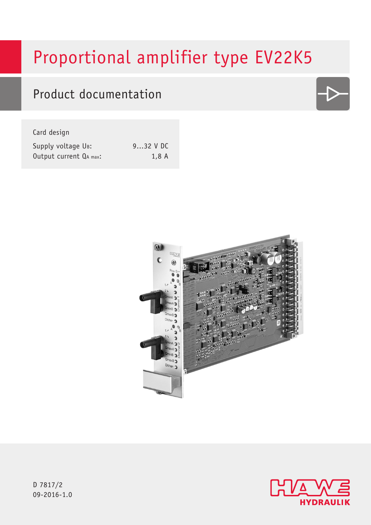# Proportional amplifier type EV22K5

## Product documentation

Card design

| Supply voltage UB:     | $932$ V DC |
|------------------------|------------|
| Output current QA max: | 1,8A       |





D 7817/2 09-2016-1.0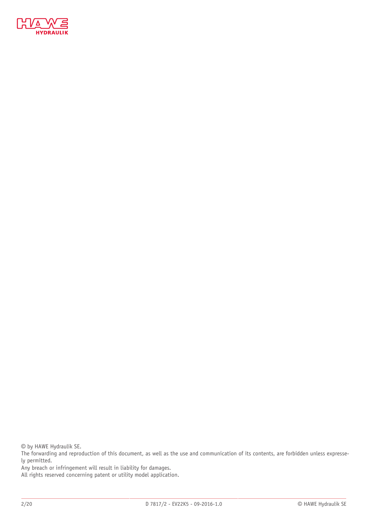

© by HAWE Hydraulik SE.

The forwarding and reproduction of this document, as well as the use and communication of its contents, are forbidden unless expressely permitted.

Any breach or infringement will result in liability for damages.

All rights reserved concerning patent or utility model application.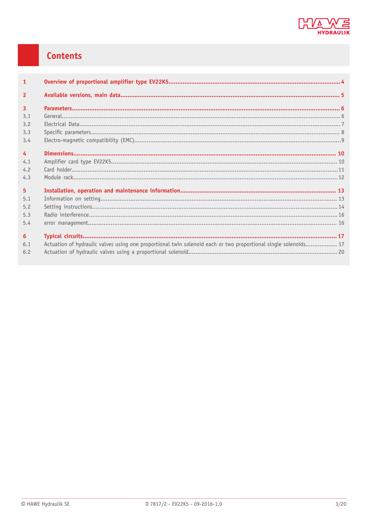

### Contents

| $\mathbf{1}$            |                                                                                                                 |  |
|-------------------------|-----------------------------------------------------------------------------------------------------------------|--|
| $\overline{\mathbf{z}}$ |                                                                                                                 |  |
| $\overline{3}$          |                                                                                                                 |  |
| 3.1                     |                                                                                                                 |  |
| 3.2                     |                                                                                                                 |  |
| 3.3                     |                                                                                                                 |  |
| 3.4                     |                                                                                                                 |  |
| $\overline{4}$          |                                                                                                                 |  |
| 4.1                     |                                                                                                                 |  |
| 4.2                     |                                                                                                                 |  |
| 4.3                     |                                                                                                                 |  |
| 5 <sup>1</sup>          |                                                                                                                 |  |
| 5.1                     |                                                                                                                 |  |
| 5.2                     |                                                                                                                 |  |
| 5.3                     |                                                                                                                 |  |
| 5.4                     |                                                                                                                 |  |
| 6                       |                                                                                                                 |  |
| 6.1                     | Actuation of hydraulic valves using one proportional twin solenoid each or two proportional single solenoids 17 |  |
| 6.2                     |                                                                                                                 |  |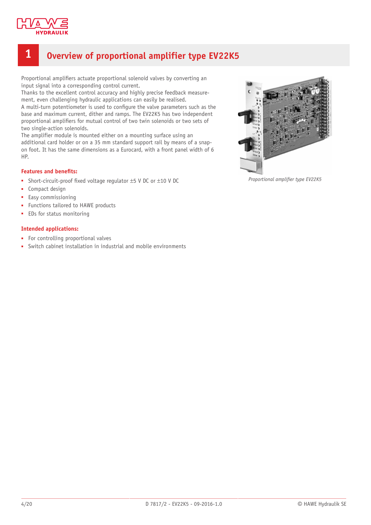

### <span id="page-3-0"></span>**1 Overview of proportional amplifier type EV22K5**

Proportional amplifiers actuate proportional solenoid valves by converting an input signal into a corresponding control current.

Thanks to the excellent control accuracy and highly precise feedback measurement, even challenging hydraulic applications can easily be realised. A multi-turn potentiometer is used to configure the valve parameters such as the base and maximum current, dither and ramps. The EV22K5 has two independent proportional amplifiers for mutual control of two twin solenoids or two sets of two single-action solenoids.

The amplifier module is mounted either on a mounting surface using an additional card holder or on a 35 mm standard support rail by means of a snapon foot. It has the same dimensions as a Eurocard, with a front panel width of 6 HP.

#### **Features** and **benefits:**

- Short-circuit-proof fixed voltage regulator  $\pm$ 5 V DC or  $\pm$ 10 V DC
- Compact design
- Easy commissioning
- Functions tailored to HAWE products
- EDs for status monitoring

#### **Intended applications:**

- For controlling proportional valves
- Switch cabinet installation in industrial and mobile environments



**Proportional amplifier type EV22K5**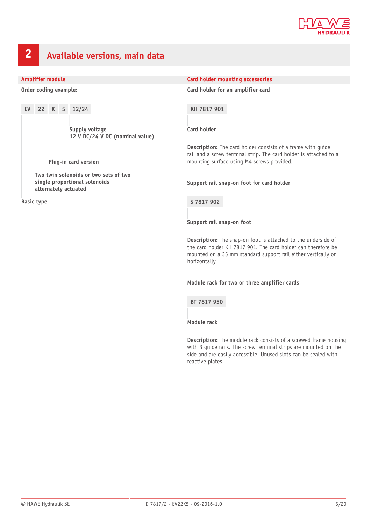

### <span id="page-4-0"></span>**2 Available versions, main data**

**Order coding example:**

**EV 22 K 5 12/24 Supply voltage 12 V DC/24 V DC (nominal value) Plug-in card version Two twin solenoids or two sets of two single proportional solenoids**

**Basic type**

**alternately actuated**

#### **Amplifier module Card holder mounting accessories**

**Card holder for an amplifier card**

**KH 7817 901**

**Card holder**

**Description:** The card holder consists of a frame with quide rail and a screw terminal strip. The card holder is attached to a mounting surface using M4 screws provided.

**Support rail snap-on foot for card holder**

**S 7817 902**

**Support rail snap-on foot**

**Description:** The snap-on foot is attached to the underside of the card holder KH 7817 901. The card holder can therefore be mounted on a 35 mm standard support rail either vertically or horizontally

**Module rack for two or three amplifier cards**

**BT 7817 950**

**Module rack**

**Description:** The module rack consists of a screwed frame housing with 3 guide rails. The screw terminal strips are mounted on the side and are easily accessible. Unused slots can be sealed with reactive plates.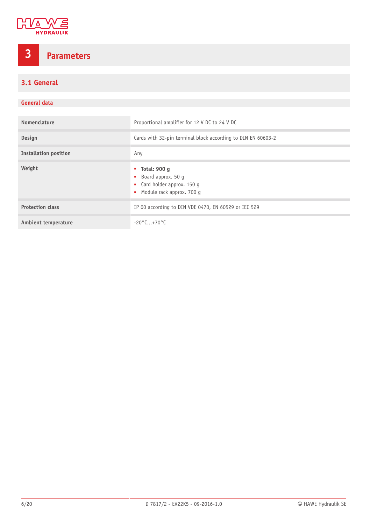

## <span id="page-5-0"></span>**3 Parameters**

<span id="page-5-1"></span>**3.1 General**

#### **General data**

| Nomenclature                 | Proportional amplifier for 12 V DC to 24 V DC                                                                                     |  |
|------------------------------|-----------------------------------------------------------------------------------------------------------------------------------|--|
| Design                       | Cards with 32-pin terminal block according to DIN EN 60603-2                                                                      |  |
| <b>Installation position</b> | Any                                                                                                                               |  |
| Weight                       | $\blacksquare$ Total: 900 q<br>• Board approx. 50 g<br>• Card holder approx. 150 g<br>Module rack approx. 700 g<br>$\mathbf{u}$ . |  |
| <b>Protection class</b>      | IP 00 according to DIN VDE 0470, EN 60529 or IEC 529                                                                              |  |
| <b>Ambient temperature</b>   | $-20^{\circ}$ C+70°C                                                                                                              |  |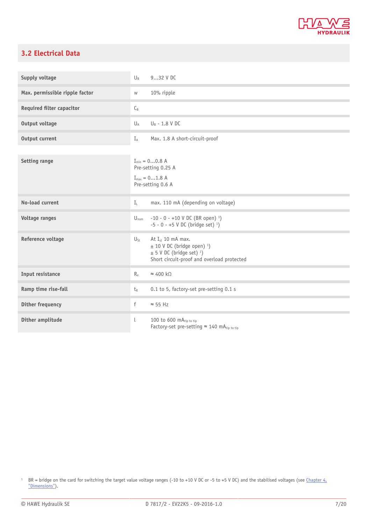

#### <span id="page-6-0"></span>**3.2 Electrical Data**

| Supply voltage                   | 932 V DC<br>$\bigcup_{R}$                                                                                                                                                         |
|----------------------------------|-----------------------------------------------------------------------------------------------------------------------------------------------------------------------------------|
| Max. permissible ripple factor   | 10% ripple<br>${\mathsf W}$                                                                                                                                                       |
| <b>Required filter capacitor</b> | $C_B$                                                                                                                                                                             |
| Output voltage                   | $U_B$ - 1.8 V DC<br>$U_A$                                                                                                                                                         |
| Output current                   | Max. 1.8 A short-circuit-proof<br>$I_A$                                                                                                                                           |
| <b>Setting range</b>             | $I_{min} = 00.8 A$<br>Pre-setting 0.25 A<br>$I_{max} = 01.8$ A<br>Pre-setting 0.6 A                                                                                               |
| No-load current                  | max. 110 mA (depending on voltage)<br>$I_{\perp}$                                                                                                                                 |
| <b>Voltage ranges</b>            | $U_{\text{nom}}$ -10 - 0 - +10 V DC (BR open) <sup>1</sup> )<br>$-5 - 0 - +5$ V DC (bridge set) <sup>1</sup> )                                                                    |
| Reference voltage                | At I <sub>st</sub> 10 mA max.<br>$U_{Sf}$<br>$\pm$ 10 V DC (bridge open) <sup>1</sup> )<br>$\pm$ 5 V DC (bridge set) <sup>1</sup> )<br>Short circuit-proof and overload protected |
| Input resistance                 | $\approx 400 \text{ k}\Omega$<br>$R_{e}$                                                                                                                                          |
| Ramp time rise-fall              | 0.1 to 5, factory-set pre-setting 0.1 s<br>$t_{R}$                                                                                                                                |
| <b>Dither frequency</b>          | f<br>$\approx$ 55 Hz                                                                                                                                                              |
| Dither amplitude                 | $\lfloor$<br>100 to 600 mAtip to tip<br>Factory-set pre-setting $\approx$ 140 mA <sub>tip to tip</sub>                                                                            |

<sup>&</sup>lt;sup>1</sup> BR = bridge on the card for switching the target value voltage ranges (-10 to +10 V DC or -5 to +5 V DC) and the stabilised voltages (see [Chapter 4,](#page-9-0) ["Dimensions"](#page-9-0)).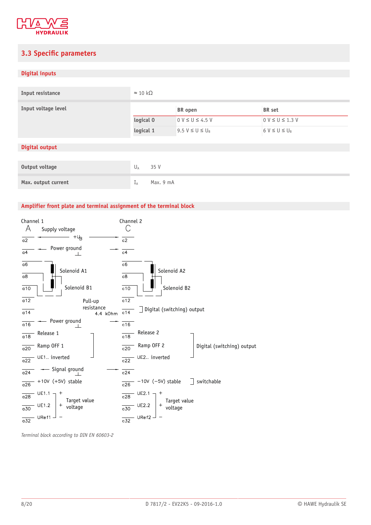

#### <span id="page-7-0"></span>**3.3 Specific parameters**

#### **Digital inputs**

| Input resistance      | $\approx$ 10 kΩ    |                       |                       |
|-----------------------|--------------------|-----------------------|-----------------------|
| Input voltage level   |                    | <b>BR</b> open        | <b>BR</b> set         |
|                       | logical 0          | $0 V \le U \le 4.5 V$ | $0 V \le U \le 1.3 V$ |
|                       | logical 1          | $9.5 V \le U \le U_B$ | $6 V \le U \le U_B$   |
| <b>Digital output</b> |                    |                       |                       |
|                       |                    |                       |                       |
| Output voltage        | $U_A$<br>35 V      |                       |                       |
| Max. output current   | $I_A$<br>Max. 9 mA |                       |                       |

#### **Amplifier front plate and terminal assignment of the terminal block**



*Terminal block according to DIN EN 60603-2*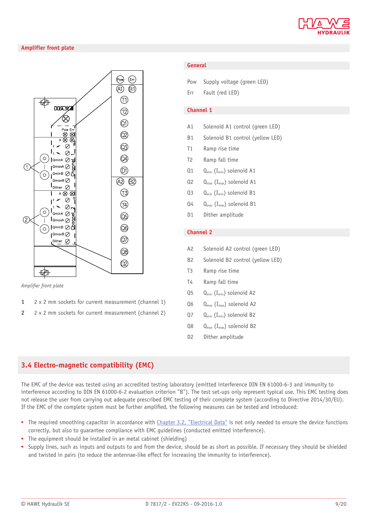

#### **Amplifier front plate**



*Amplier front plate*

- **1** 2 x 2 mm sockets for current measurement (channel 1)
- **2** 2 x 2 mm sockets for current measurement (channel 2)

#### **General**

| Pow |  | Supply voltage (green LED) |  |  |
|-----|--|----------------------------|--|--|
|-----|--|----------------------------|--|--|

Err Fault (red LED)

#### **Channel 1**

- A1 Solenoid A1 control (green LED)
- B1 Solenoid B1 control (yellow LED)
- T1 Ramp rise time
- T2 Ramp fall time
- $Q_1$   $Q_{min}$  (I<sub>min</sub>) solenoid A1
- $Q$ 2  $Q_{\text{max}}$  (I<sub>max</sub>) solenoid A1
- Q3 Q<sub>min</sub> (I<sub>min</sub>) solenoid B1
- $Q_4$   $Q_{\text{max}}$  (I<sub>max</sub>) solenoid B1
- D1 Dither amplitude

#### **Channel 2**

- A2 Solenoid A2 control (green LED)
- B2 Solenoid B2 control (yellow LED)
- T3 Ramp rise time
- T4 Ramp fall time
- $Q_5$   $Q_{\text{min}}$  (I<sub>min</sub>) solenoid A2
- $Q_6$   $Q_{\text{max}}$  ( $I_{\text{max}}$ ) solenoid A2
- $Q7$   $Q_{min}$  (I<sub>min</sub>) solenoid B2
- $Q_8$   $Q_{\text{max}}$  (I<sub>max</sub>) solenoid B2
- D2 Dither amplitude

#### <span id="page-8-0"></span>**3.4 Electro-magnetic compatibility (EMC)**

The EMC of the device was tested using an accredited testing laboratory (emitted interference DIN EN 61000-6-3 and immunity to interference according to DIN EN 61000-6-2 evaluation criterion "B"). The test set-ups only represent typical use. This EMC testing does not release the user from carrying out adequate prescribed EMC testing of their complete system (according to Directive 2014/30/EU). If the EMC of the complete system must be further amplified, the following measures can be tested and introduced:

- The required smoothing capacitor in accordance with [Chapter 3.2, "Electrical Data"](#page-6-0) is not only needed to ensure the device functions correctly, but also to guarantee compliance with EMC guidelines (conducted emitted interference).
- The equipment should be installed in an metal cabinet (shielding)
- Supply lines, such as inputs and outputs to and from the device, should be as short as possible. If necessary they should be shielded and twisted in pairs (to reduce the antennae-like effect for increasing the immunity to interference).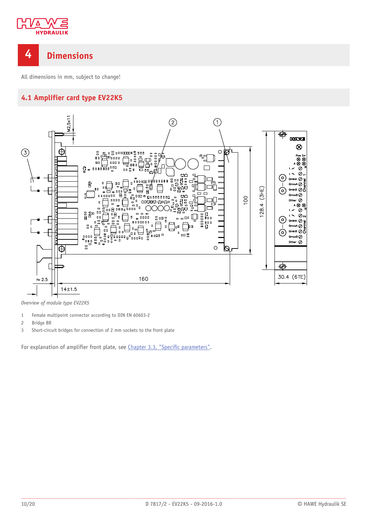

### <span id="page-9-0"></span>**4 Dimensions**

<span id="page-9-1"></span>All dimensions in mm, subject to change!

#### **4.1 Amplifier card type EV22K5**



*Overview of module type EV22K5*

- 1 Female multipoint connector according to DIN EN 60603-2
- 2 Bridge BR
- 3 Short-circuit bridges for connection of 2 mm sockets to the front plate

For explanation of amplifier front plate, see [Chapter 3.3,](#page-7-0) "Specific parameters".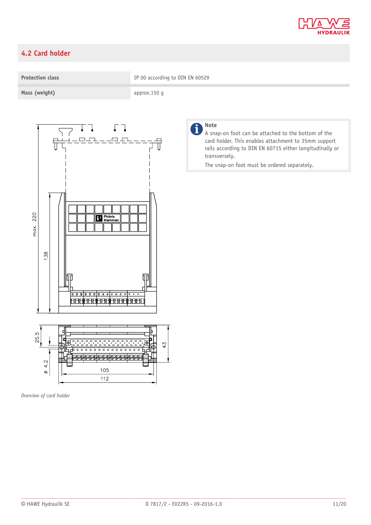

### <span id="page-10-0"></span>**4.2 Card holder**



*Overview of card holder*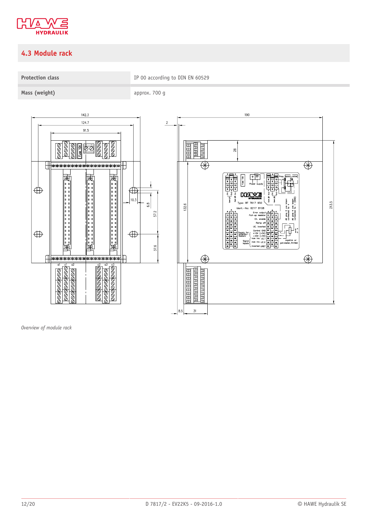

### <span id="page-11-0"></span>**4.3 Module rack**

**Protection class CONDUCTER IP 00 according to DIN EN 60529** 

**Mass (weight)** approx. 700 g



*Overview of module rack*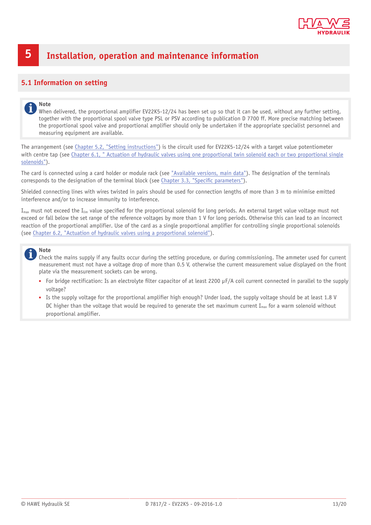

### <span id="page-12-0"></span>**5 Installation, operation and maintenance information**

#### <span id="page-12-1"></span>**5.1 Information on setting**

#### **Note**

When delivered, the proportional amplifier EV22K5-12/24 has been set up so that it can be used, without any further setting, together with the proportional spool valve type PSL or PSV according to publication D 7700 ff. More precise matching between the proportional spool valve and proportional amplifier should only be undertaken if the appropriate specialist personnel and measuring equipment are available.

The arrangement (see Chapter 5.2, "Setting [instructions"](#page-13-0)) is the circuit used for EV22K5-12/24 with a target value potentiometer with centre tap (see Chapter 6.1, " Actuation of hydraulic valves using one [proportional](#page-16-1) twin solenoid each or two proportional single [solenoids"\)](#page-16-1).

The card is connected using a card holder or module rack (see ["Available](#page-4-0) versions, main data"). The designation of the terminals corresponds to the designation of the terminal block (see [Chapter 3.3,](#page-7-0) "Specific parameters").

Shielded connecting lines with wires twisted in pairs should be used for connection lengths of more than 3 m to minimise emitted interference and/or to increase immunity to interference.

 $I_{max}$  must not exceed the  $I_{lim}$  value specified for the proportional solenoid for long periods. An external target value voltage must not exceed or fall below the set range of the reference voltages by more than 1 V for long periods. Otherwise this can lead to an incorrect reaction of the proportional amplifier. Use of the card as a single proportional amplifier for controlling single proportional solenoids (see Chapter 6.2, "Actuation of hydraulic valves using a [proportional](#page-19-0) solenoid").

#### **Note**

Check the mains supply if any faults occur during the setting procedure, or during commissioning. The ammeter used for current measurement must not have a voltage drop of more than 0.5 V, otherwise the current measurement value displayed on the front plate via the measurement sockets can be wrong.

- For bridge rectification: Is an electrolyte filter capacitor of at least 2200 μF/A coil current connected in parallel to the supply voltage?
- Is the supply voltage for the proportional amplifier high enough? Under load, the supply voltage should be at least 1.8 V DC higher than the voltage that would be required to generate the set maximum current  $I_{\text{max}}$  for a warm solenoid without proportional amplifier.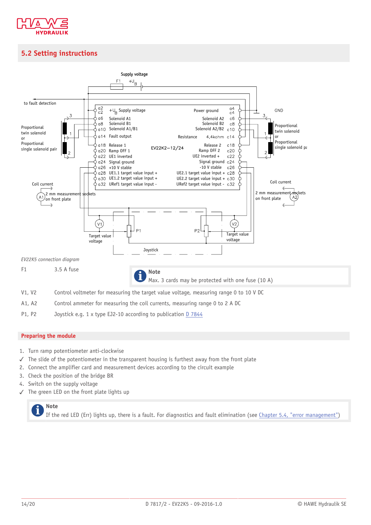

### <span id="page-13-0"></span>**5.2 Setting instructions**



P1, P2 Joystick e.g. 1 x type EJ2-10 according to publication [D 7844](http://downloads.hawe.com/7/8/D7844-en.pdf)

#### **Preparing the module**

- 1. Turn ramp potentiometer anti-clockwise
- ✓ The slide of the potentiometer in the transparent housing is furthest away from the front plate
- 2. Connect the amplifier card and measurement devices according to the circuit example
- 3. Check the position of the bridge BR
- 4. Switch on the supply voltage
- ✓ The green LED on the front plate lights up

### **Note**

If the red LED (Err) lights up, there is a fault. For diagnostics and fault elimination (see Chapter 5.4, "error [management"\)](#page-15-1)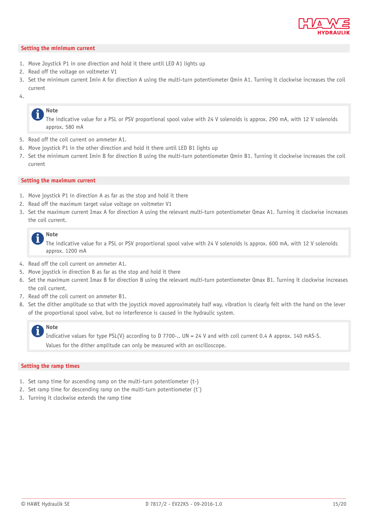

#### **Setting the minimum current**

- 1. Move Joystick P1 in one direction and hold it there until LED A1 lights up
- 2. Read off the voltage on voltmeter V1
- 3. Set the minimum current Imin A for direction A using the multi-turn potentiometer Qmin A1. Turning it clockwise increases the coil current
- 4.

#### **Note**

The indicative value for a PSL or PSV proportional spool valve with 24 V solenoids is approx. 290 mA, with 12 V solenoids approx. 580 mA

- 5. Read off the coil current on ammeter A1.
- 6. Move joystick P1 in the other direction and hold it there until LED B1 lights up
- 7. Set the minimum current Imin B for direction B using the multi-turn potentiometer Qmin B1. Turning it clockwise increases the coil current

#### **Setting the maximum current**

- 1. Move joystick P1 in direction A as far as the stop and hold it there
- 2. Read off the maximum target value voltage on voltmeter V1
- 3. Set the maximum current Imax A for direction A using the relevant multi-turn potentiometer Qmax A1. Turning it clockwise increases the coil current.



The indicative value for a PSL or PSV proportional spool valve with 24 V solenoids is approx. 600 mA, with 12 V solenoids approx. 1200 mA

- 4. Read off the coil current on ammeter A1.
- 5. Move joystick in direction B as far as the stop and hold it there
- 6. Set the maximum current Imax B for direction B using the relevant multi-turn potentiometer Qmax B1. Turning it clockwise increases the coil current.
- 7. Read off the coil current on ammeter B1.
- 8. Set the dither amplitude so that with the joystick moved approximately half way, vibration is clearly felt with the hand on the lever of the proportional spool valve, but no interference is caused in the hydraulic system.

#### **Note**

Indicative values for type PSL(V) according to D 7700-.. UN = 24 V and with coil current 0.4 A approx. 140 mAS-S. Values for the dither amplitude can only be measured with an oscilloscope.

#### **Setting the ramp times**

- 1. Set ramp time for ascending ramp on the multi-turn potentiometer (t-)
- 2. Set ramp time for descending ramp on the multi-turn potentiometer  $(t^-)$
- 3. Turning it clockwise extends the ramp time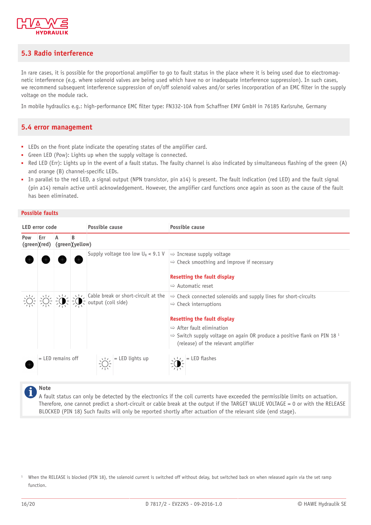

#### <span id="page-15-0"></span>**5.3 Radio interference**

In rare cases, it is possible for the proportional amplifier to go to fault status in the place where it is being used due to electromagnetic interference (e.g. where solenoid valves are being used which have no or inadequate interference suppression). In such cases, we recommend subsequent interference suppression of on/off solenoid valves and/or series incorporation of an EMC filter in the supply voltage on the module rack.

<span id="page-15-1"></span>In mobile hydraulics e.g.: high-performance EMC filter type: FN332-10A from Schaffner EMV GmbH in 76185 Karlsruhe, Germany

#### **5.4 error management**

- LEDs on the front plate indicate the operating states of the amplifier card.
- Green LED (Pow): Lights up when the supply voltage is connected.
- Red LED (Err): Lights up in the event of a fault status. The faulty channel is also indicated by simultaneous flashing of the green (A) and orange (B) channel-specific LEDs.
- In parallel to the red LED, a signal output (NPN transistor, pin a14) is present. The fault indication (red LED) and the fault signal (pin a14) remain active until acknowledgement. However, the amplifier card functions once again as soon as the cause of the fault has been eliminated.

#### **Possible faults**

| Possible cause<br><b>LED</b> error code |                     |                     | Possible cause       |                                                                                  |                                                                                                                                        |
|-----------------------------------------|---------------------|---------------------|----------------------|----------------------------------------------------------------------------------|----------------------------------------------------------------------------------------------------------------------------------------|
| Pow                                     | Err<br>(green)(red) | А                   | B<br>(green)(yellow) |                                                                                  |                                                                                                                                        |
|                                         |                     |                     |                      | Supply voltage too low $U_B < 9.1$ V                                             | $\Rightarrow$ Increase supply voltage<br>$\Rightarrow$ Check smoothing and improve if necessary                                        |
|                                         |                     |                     |                      |                                                                                  | Resetting the fault display                                                                                                            |
|                                         |                     |                     |                      |                                                                                  | $\Rightarrow$ Automatic reset                                                                                                          |
|                                         |                     |                     |                      | $\left \sum_{n=1}^{1}$ Cable break or short-circuit at the<br>output (coil side) | $\Rightarrow$ Check connected solenoids and supply lines for short-circuits<br>$\Rightarrow$ Check interruptions                       |
|                                         |                     |                     |                      |                                                                                  | <b>Resetting the fault display</b>                                                                                                     |
|                                         |                     |                     |                      |                                                                                  | $\Rightarrow$ After fault elimination                                                                                                  |
|                                         |                     |                     |                      |                                                                                  | $\Rightarrow$ Switch supply voltage on again OR produce a positive flank on PIN 18 <sup>1</sup><br>(release) of the relevant amplifier |
|                                         |                     | $=$ LED remains off |                      | $\left \sum_{i=1}^{1} f_i\right  = \text{LED lights up}$                         | $=$ LED flashes                                                                                                                        |

**Note**

A fault status can only be detected by the electronics if the coil currents have exceeded the permissible limits on actuation. Therefore, one cannot predict a short-circuit or cable break at the output if the TARGET VALUE VOLTAGE = 0 or with the RELEASE BLOCKED (PIN 18) Such faults will only be reported shortly after actuation of the relevant side (end stage).

<sup>&</sup>lt;sup>1</sup> When the RELEASE is blocked (PIN 18), the solenoid current is switched off without delay, but switched back on when released again via the set ramp function.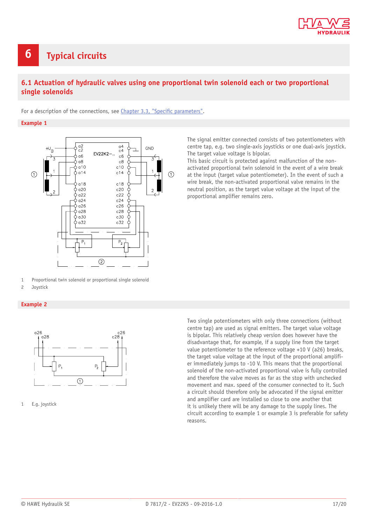

### <span id="page-16-0"></span>**6 Typical circuits**

#### <span id="page-16-1"></span>**6.1 Actuation of hydraulic valves using one proportional twin solenoid each or two proportional single solenoids**

For a description of the connections, see [Chapter 3.3,](#page-7-0) "Specific parameters".

#### **Example 1**



1 Proportional twin solenoid or proportional single solenoid

2 Joystick

#### **Example 2**



1 E.g. joystick

The signal emitter connected consists of two potentiometers with centre tap, e.g. two single-axis joysticks or one dual-axis joystick. The target value voltage is bipolar.

This basic circuit is protected against malfunction of the nonactivated proportional twin solenoid in the event of a wire break at the input (target value potentiometer). In the event of such a wire break, the non-activated proportional valve remains in the neutral position, as the target value voltage at the input of the proportional amplifier remains zero.

Two single potentiometers with only three connections (without centre tap) are used as signal emitters. The target value voltage is bipolar. This relatively cheap version does however have the disadvantage that, for example, if a supply line from the target value potentiometer to the reference voltage +10 V (a26) breaks, the target value voltage at the input of the proportional amplifier immediately jumps to -10 V. This means that the proportional solenoid of the non-activated proportional valve is fully controlled and therefore the valve moves as far as the stop with unchecked movement and max. speed of the consumer connected to it. Such a circuit should therefore only be advocated if the signal emitter and amplifier card are installed so close to one another that it is unlikely there will be any damage to the supply lines. The circuit according to example 1 or example 3 is preferable for safety reasons.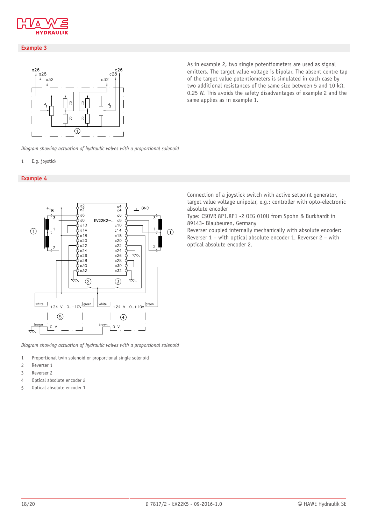

#### **Example 3**



As in example 2, two single potentiometers are used as signal emitters. The target value voltage is bipolar. The absent centre tap of the target value potentiometers is simulated in each case by two additional resistances of the same size between 5 and 10 kΩ, 0.25 W. This avoids the safety disadvantages of example 2 and the same applies as in example 1.

*Diagram showing actuation of hydraulic valves with a proportional solenoid*

#### 1 E.g. joystick

#### **Example 4**



*Diagram showing actuation of hydraulic valves with a proportional solenoid*

- 1 Proportional twin solenoid or proportional single solenoid
- 2 Reverser 1
- 3 Reverser 2
- 4 Optical absolute encoder 2
- 5 Optical absolute encoder 1

Connection of a joystick switch with active setpoint generator, target value voltage unipolar, e.g.: controller with opto-electronic absolute encoder

Type: CSOVR 8P1.8P1 -2 OEG 010U from Spohn & Burkhardt in 89143- Blaubeuren, Germany

Reverser coupled internally mechanically with absolute encoder: Reverser 1 – with optical absolute encoder 1. Reverser 2 – with optical absolute encoder 2.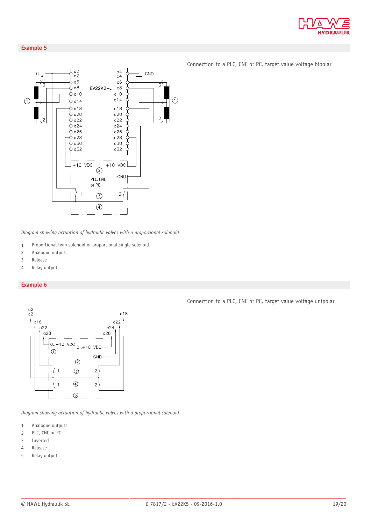

#### **Example 5**



*Diagram showing actuation of hydraulic valves with a proportional solenoid*

- 1 Proportional twin solenoid or proportional single solenoid
- 2 Analogue outputs
- 3 Release
- 4 Relay outputs

#### **Example 6**



*Diagram showing actuation of hydraulic valves with a proportional solenoid*

- 1 Analogue outputs
- 2 PLC, CNC or PC
- 3 Inverted
- 4 Release
- 5 Relay output

Connection to a PLC, CNC or PC, target value voltage unipolar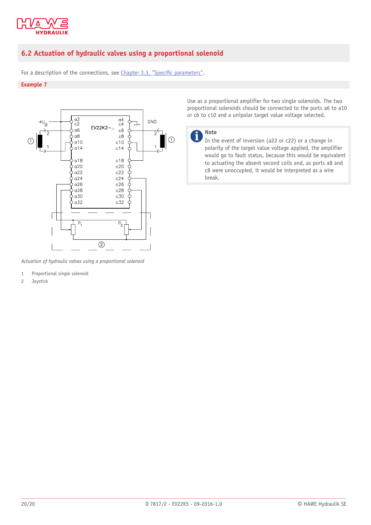

#### <span id="page-19-0"></span>**6.2 Actuation of hydraulic valves using a proportional solenoid**

For a description of the connections, see [Chapter 3.3,](#page-7-0) "Specific parameters".

#### **Example 7**



*Actuation of hydraulic valves using a proportional solenoid*

- 1 Proportional single solenoid
- 2 Joystick

Use as a proportional amplifier for two single solenoids. The two proportional solenoids should be connected to the ports a6 to a10 or c6 to c10 and a unipolar target value voltage selected.



**Note**

In the event of inversion (a22 or c22) or a change in polarity of the target value voltage applied, the amplifier would go to fault status, because this would be equivalent to actuating the absent second coils and, as ports a8 and c8 were unoccupied, it would be interpreted as a wire break.